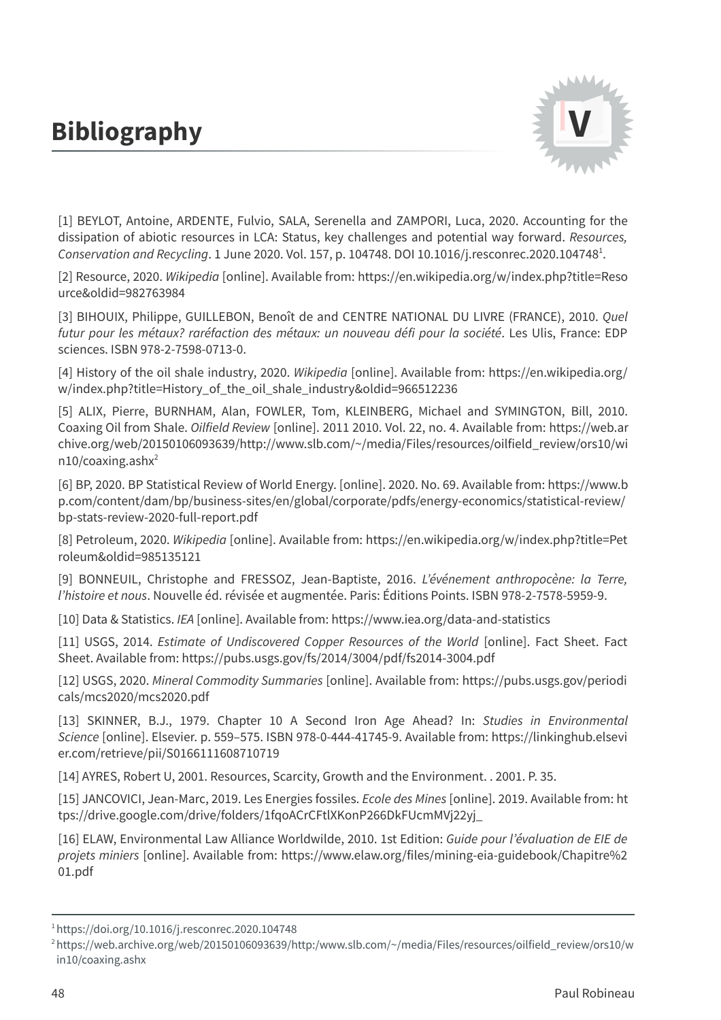## **Bibliography**



[1] BEYLOT, Antoine, ARDENTE, Fulvio, SALA, Serenella and ZAMPORI, Luca, 2020. Accounting for the dissipation of abiotic resources in LCA: Status, key challenges and potential way forward. Resources, Conservation and Recycling. 1 June 2020. Vol. 157, p. 104748. DOI [10.1016/j.resconrec.2020.104748](https://doi.org/10.1016/j.resconrec.2020.104748)<sup>1</sup>.

[2] Resource, 2020. Wikipedia [online]. Available from: [https://en.wikipedia.org/w/index.php?title=Reso](https://en.wikipedia.org/w/index.php?title=Resource&oldid=982763984) urce&oldid=982763984

[3] BIHOUIX, Philippe, GUILLEBON, Benoît de and CENTRE NATIONAL DU LIVRE (FRANCE), 2010. Quel futur pour les métaux? raréfaction des métaux: un nouveau défi pour la société. Les Ulis, France: EDP sciences. ISBN 978-2-7598-0713-0.

[4] History of the oil shale industry, 2020. Wikipedia [online]. Available from: https://en.wikipedia.org/ [w/index.php?title=History\\_of\\_the\\_oil\\_shale\\_industry&oldid=966512236](https://en.wikipedia.org/w/index.php?title=History_of_the_oil_shale_industry&oldid=966512236)

[5] ALIX, Pierre, BURNHAM, Alan, FOWLER, Tom, KLEINBERG, Michael and SYMINGTON, Bill, 2010. Coaxing Oil from Shale. Oilfield Review [online]. 2011 2010. Vol. 22, no. 4. Available from: https://web.ar [chive.org/web/20150106093639/http://www.slb.com/~/media/Files/resources/oilfield\\_review/ors10/wi](https://web.archive.org/web/20150106093639/http:/www.slb.com/~/media/Files/resources/oilfield_review/ors10/win10/coaxing.ashx) n10/coaxing.ashx 2

[6] BP, 2020. BP Statistical Review of World Energy. [online]. 2020. No. 69. Available from: https://www.b [p.com/content/dam/bp/business-sites/en/global/corporate/pdfs/energy-economics/statistical-review/](https://www.bp.com/content/dam/bp/business-sites/en/global/corporate/pdfs/energy-economics/statistical-review/bp-stats-review-2020-full-report.pdf) bp-stats-review-2020-full-report.pdf

[8] Petroleum, 2020. Wikipedia [online]. Available from: [https://en.wikipedia.org/w/index.php?title=Pet](https://en.wikipedia.org/w/index.php?title=Petroleum&oldid=985135121) roleum&oldid=985135121

[9] BONNEUIL, Christophe and FRESSOZ, Jean-Baptiste, 2016. L'événement anthropocène: la Terre, l'histoire et nous. Nouvelle éd. révisée et augmentée. Paris: Éditions Points. ISBN 978-2-7578-5959-9.

[10] Data & Statistics. IEA [online]. Available from: <https://www.iea.org/data-and-statistics>

[11] USGS, 2014. Estimate of Undiscovered Copper Resources of the World [online]. Fact Sheet. Fact Sheet. Available from: <https://pubs.usgs.gov/fs/2014/3004/pdf/fs2014-3004.pdf>

[12] USGS, 2020. Mineral Commodity Summaries [online]. Available from: [https://pubs.usgs.gov/periodi](https://pubs.usgs.gov/periodicals/mcs2020/mcs2020.pdf) cals/mcs2020/mcs2020.pdf

[13] SKINNER, B.J., 1979. Chapter 10 A Second Iron Age Ahead? In: Studies in Environmental Science [online]. Elsevier. p. 559–575. ISBN 978-0-444-41745-9. Available from: https://linkinghub.elsevi [er.com/retrieve/pii/S0166111608710719](https://linkinghub.elsevier.com/retrieve/pii/S0166111608710719)

[14] AYRES, Robert U, 2001. Resources, Scarcity, Growth and the Environment. . 2001. P. 35.

[15] JANCOVICI, Jean-Marc, 2019. Les Energies fossiles. Ecole des Mines [online]. 2019. Available from: ht [tps://drive.google.com/drive/folders/1fqoACrCFtlXKonP266DkFUcmMVj22yj\\_](https://drive.google.com/drive/folders/1fqoACrCFtlXKonP266DkFUcmMVj22yj_)

[16] ELAW, Environmental Law Alliance Worldwilde, 2010. 1st Edition: Guide pour l'évaluation de EIE de projets miniers [online]. Available from: [https://www.elaw.org/files/mining-eia-guidebook/Chapitre%2](https://www.elaw.org/files/mining-eia-guidebook/Chapitre%201.pdf) 01.pdf

<sup>1</sup><https://doi.org/10.1016/j.resconrec.2020.104748>

<sup>2</sup>[https://web.archive.org/web/20150106093639/http:/www.slb.com/~/media/Files/resources/oilfield\\_review/ors10/w](https://web.archive.org/web/20150106093639/http:/www.slb.com/~/media/Files/resources/oilfield_review/ors10/win10/coaxing.ashx) in10/coaxing.ashx